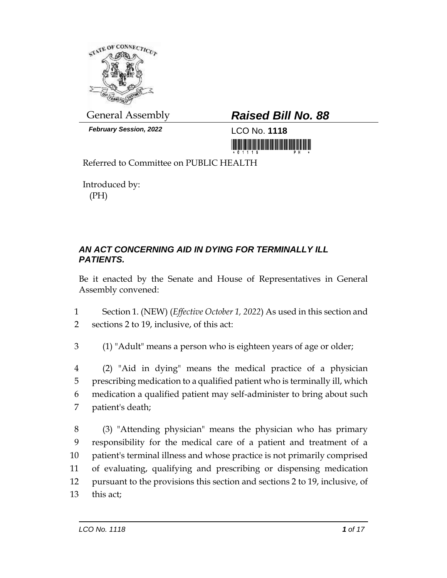

*February Session, 2022* LCO No. **1118**

# General Assembly *Raised Bill No. 88*

<u>ni koʻlimin kasar mashlarida mir</u>

Referred to Committee on PUBLIC HEALTH

Introduced by: (PH)

### *AN ACT CONCERNING AID IN DYING FOR TERMINALLY ILL PATIENTS.*

Be it enacted by the Senate and House of Representatives in General Assembly convened:

1 Section 1. (NEW) (*Effective October 1, 2022*) As used in this section and 2 sections 2 to 19, inclusive, of this act:

3 (1) "Adult" means a person who is eighteen years of age or older;

 (2) "Aid in dying" means the medical practice of a physician prescribing medication to a qualified patient who is terminally ill, which medication a qualified patient may self-administer to bring about such patient's death;

 (3) "Attending physician" means the physician who has primary responsibility for the medical care of a patient and treatment of a patient's terminal illness and whose practice is not primarily comprised of evaluating, qualifying and prescribing or dispensing medication pursuant to the provisions this section and sections 2 to 19, inclusive, of 13 this act;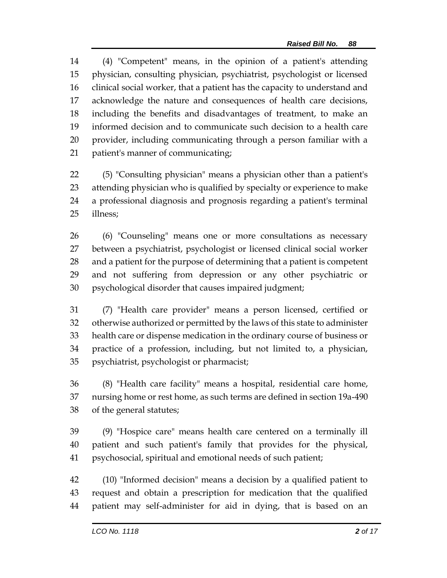(4) "Competent" means, in the opinion of a patient's attending physician, consulting physician, psychiatrist, psychologist or licensed clinical social worker, that a patient has the capacity to understand and acknowledge the nature and consequences of health care decisions, including the benefits and disadvantages of treatment, to make an informed decision and to communicate such decision to a health care provider, including communicating through a person familiar with a patient's manner of communicating;

 (5) "Consulting physician" means a physician other than a patient's attending physician who is qualified by specialty or experience to make a professional diagnosis and prognosis regarding a patient's terminal illness;

 (6) "Counseling" means one or more consultations as necessary between a psychiatrist, psychologist or licensed clinical social worker and a patient for the purpose of determining that a patient is competent and not suffering from depression or any other psychiatric or psychological disorder that causes impaired judgment;

 (7) "Health care provider" means a person licensed, certified or otherwise authorized or permitted by the laws of this state to administer health care or dispense medication in the ordinary course of business or practice of a profession, including, but not limited to, a physician, psychiatrist, psychologist or pharmacist;

 (8) "Health care facility" means a hospital, residential care home, nursing home or rest home, as such terms are defined in section 19a-490 of the general statutes;

 (9) "Hospice care" means health care centered on a terminally ill patient and such patient's family that provides for the physical, psychosocial, spiritual and emotional needs of such patient;

 (10) "Informed decision" means a decision by a qualified patient to request and obtain a prescription for medication that the qualified patient may self-administer for aid in dying, that is based on an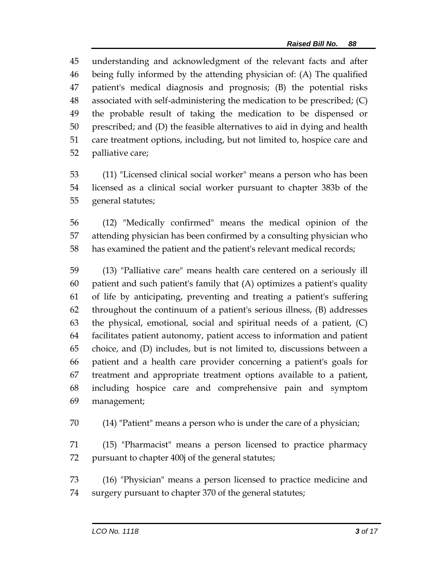understanding and acknowledgment of the relevant facts and after being fully informed by the attending physician of: (A) The qualified patient's medical diagnosis and prognosis; (B) the potential risks associated with self-administering the medication to be prescribed; (C) the probable result of taking the medication to be dispensed or prescribed; and (D) the feasible alternatives to aid in dying and health care treatment options, including, but not limited to, hospice care and palliative care;

 (11) "Licensed clinical social worker" means a person who has been licensed as a clinical social worker pursuant to chapter 383b of the general statutes;

 (12) "Medically confirmed" means the medical opinion of the attending physician has been confirmed by a consulting physician who has examined the patient and the patient's relevant medical records;

 (13) "Palliative care" means health care centered on a seriously ill patient and such patient's family that (A) optimizes a patient's quality of life by anticipating, preventing and treating a patient's suffering throughout the continuum of a patient's serious illness, (B) addresses the physical, emotional, social and spiritual needs of a patient, (C) facilitates patient autonomy, patient access to information and patient choice, and (D) includes, but is not limited to, discussions between a patient and a health care provider concerning a patient's goals for treatment and appropriate treatment options available to a patient, including hospice care and comprehensive pain and symptom management;

(14) "Patient" means a person who is under the care of a physician;

 (15) "Pharmacist" means a person licensed to practice pharmacy pursuant to chapter 400j of the general statutes;

 (16) "Physician" means a person licensed to practice medicine and surgery pursuant to chapter 370 of the general statutes;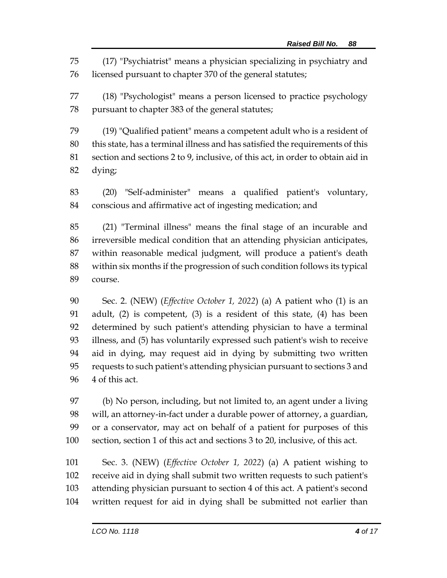(17) "Psychiatrist" means a physician specializing in psychiatry and licensed pursuant to chapter 370 of the general statutes;

 (18) "Psychologist" means a person licensed to practice psychology pursuant to chapter 383 of the general statutes;

 (19) "Qualified patient" means a competent adult who is a resident of this state, has a terminal illness and has satisfied the requirements of this section and sections 2 to 9, inclusive, of this act, in order to obtain aid in dying;

 (20) "Self-administer" means a qualified patient's voluntary, conscious and affirmative act of ingesting medication; and

 (21) "Terminal illness" means the final stage of an incurable and irreversible medical condition that an attending physician anticipates, within reasonable medical judgment, will produce a patient's death within six months if the progression of such condition follows its typical course.

 Sec. 2. (NEW) (*Effective October 1, 2022*) (a) A patient who (1) is an adult, (2) is competent, (3) is a resident of this state, (4) has been determined by such patient's attending physician to have a terminal illness, and (5) has voluntarily expressed such patient's wish to receive aid in dying, may request aid in dying by submitting two written requests to such patient's attending physician pursuant to sections 3 and 4 of this act.

 (b) No person, including, but not limited to, an agent under a living will, an attorney-in-fact under a durable power of attorney, a guardian, or a conservator, may act on behalf of a patient for purposes of this section, section 1 of this act and sections 3 to 20, inclusive, of this act.

 Sec. 3. (NEW) (*Effective October 1, 2022*) (a) A patient wishing to receive aid in dying shall submit two written requests to such patient's attending physician pursuant to section 4 of this act. A patient's second written request for aid in dying shall be submitted not earlier than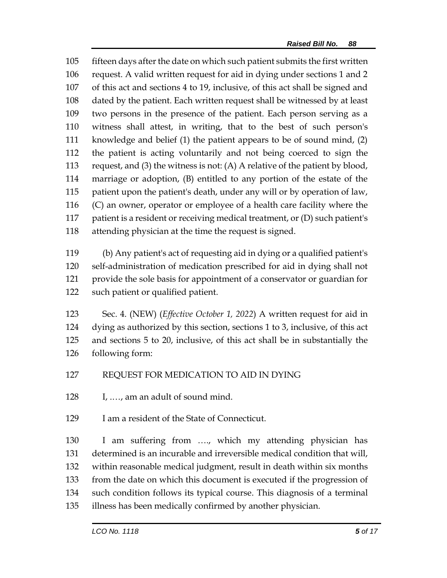fifteen days after the date on which such patient submits the first written request. A valid written request for aid in dying under sections 1 and 2 of this act and sections 4 to 19, inclusive, of this act shall be signed and dated by the patient. Each written request shall be witnessed by at least two persons in the presence of the patient. Each person serving as a witness shall attest, in writing, that to the best of such person's knowledge and belief (1) the patient appears to be of sound mind, (2) the patient is acting voluntarily and not being coerced to sign the request, and (3) the witness is not: (A) A relative of the patient by blood, marriage or adoption, (B) entitled to any portion of the estate of the patient upon the patient's death, under any will or by operation of law, (C) an owner, operator or employee of a health care facility where the patient is a resident or receiving medical treatment, or (D) such patient's attending physician at the time the request is signed.

 (b) Any patient's act of requesting aid in dying or a qualified patient's self-administration of medication prescribed for aid in dying shall not provide the sole basis for appointment of a conservator or guardian for such patient or qualified patient.

 Sec. 4. (NEW) (*Effective October 1, 2022*) A written request for aid in dying as authorized by this section, sections 1 to 3, inclusive, of this act and sections 5 to 20, inclusive, of this act shall be in substantially the following form:

### REQUEST FOR MEDICATION TO AID IN DYING

I, .…, am an adult of sound mind.

## I am a resident of the State of Connecticut.

 I am suffering from …., which my attending physician has determined is an incurable and irreversible medical condition that will, within reasonable medical judgment, result in death within six months from the date on which this document is executed if the progression of such condition follows its typical course. This diagnosis of a terminal illness has been medically confirmed by another physician.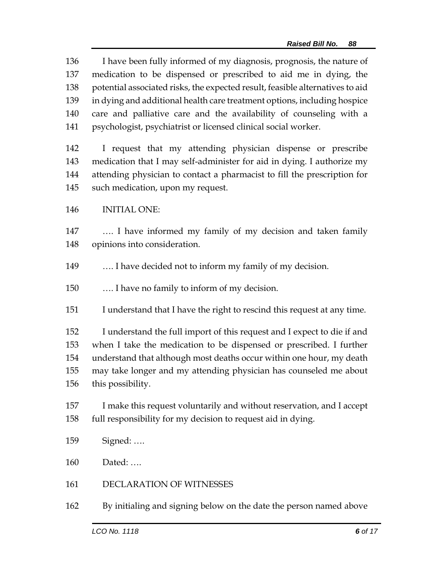I have been fully informed of my diagnosis, prognosis, the nature of medication to be dispensed or prescribed to aid me in dying, the potential associated risks, the expected result, feasible alternatives to aid in dying and additional health care treatment options, including hospice care and palliative care and the availability of counseling with a psychologist, psychiatrist or licensed clinical social worker.

 I request that my attending physician dispense or prescribe medication that I may self-administer for aid in dying. I authorize my attending physician to contact a pharmacist to fill the prescription for such medication, upon my request.

INITIAL ONE:

 …. I have informed my family of my decision and taken family opinions into consideration.

…. I have decided not to inform my family of my decision.

…. I have no family to inform of my decision.

I understand that I have the right to rescind this request at any time.

 I understand the full import of this request and I expect to die if and when I take the medication to be dispensed or prescribed. I further understand that although most deaths occur within one hour, my death may take longer and my attending physician has counseled me about this possibility.

- I make this request voluntarily and without reservation, and I accept full responsibility for my decision to request aid in dying.
- Signed: ….

Dated: ….

- DECLARATION OF WITNESSES
- By initialing and signing below on the date the person named above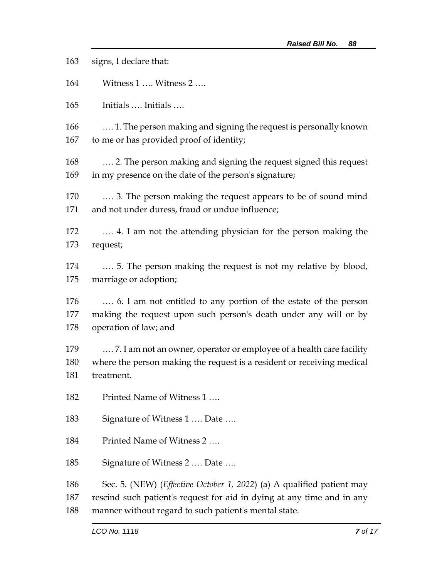signs, I declare that: Witness 1 …. Witness 2 …. Initials …. Initials …. …. 1. The person making and signing the request is personally known to me or has provided proof of identity; …. 2. The person making and signing the request signed this request in my presence on the date of the person's signature; …. 3. The person making the request appears to be of sound mind and not under duress, fraud or undue influence; …. 4. I am not the attending physician for the person making the request; …. 5. The person making the request is not my relative by blood, marriage or adoption; …. 6. I am not entitled to any portion of the estate of the person making the request upon such person's death under any will or by operation of law; and …. 7. I am not an owner, operator or employee of a health care facility where the person making the request is a resident or receiving medical treatment. Printed Name of Witness 1 …. 183 Signature of Witness 1 .... Date .... Printed Name of Witness 2 …. Signature of Witness 2 …. Date …. Sec. 5. (NEW) (*Effective October 1, 2022*) (a) A qualified patient may rescind such patient's request for aid in dying at any time and in any manner without regard to such patient's mental state.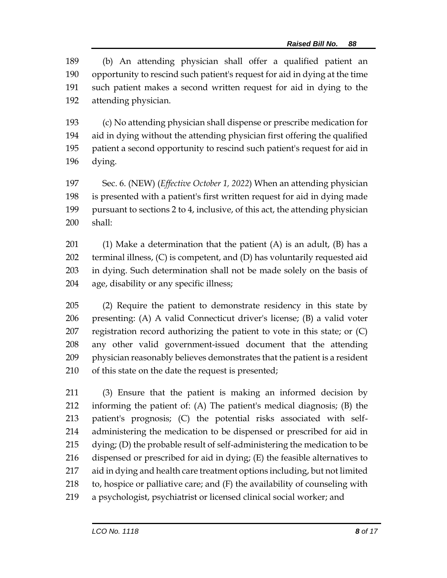(b) An attending physician shall offer a qualified patient an opportunity to rescind such patient's request for aid in dying at the time such patient makes a second written request for aid in dying to the attending physician.

 (c) No attending physician shall dispense or prescribe medication for aid in dying without the attending physician first offering the qualified patient a second opportunity to rescind such patient's request for aid in dying.

 Sec. 6. (NEW) (*Effective October 1, 2022*) When an attending physician is presented with a patient's first written request for aid in dying made pursuant to sections 2 to 4, inclusive, of this act, the attending physician shall:

201 (1) Make a determination that the patient  $(A)$  is an adult,  $(B)$  has a terminal illness, (C) is competent, and (D) has voluntarily requested aid in dying. Such determination shall not be made solely on the basis of age, disability or any specific illness;

 (2) Require the patient to demonstrate residency in this state by presenting: (A) A valid Connecticut driver's license; (B) a valid voter registration record authorizing the patient to vote in this state; or (C) any other valid government-issued document that the attending physician reasonably believes demonstrates that the patient is a resident of this state on the date the request is presented;

 (3) Ensure that the patient is making an informed decision by informing the patient of: (A) The patient's medical diagnosis; (B) the patient's prognosis; (C) the potential risks associated with self- administering the medication to be dispensed or prescribed for aid in dying; (D) the probable result of self-administering the medication to be dispensed or prescribed for aid in dying; (E) the feasible alternatives to aid in dying and health care treatment options including, but not limited to, hospice or palliative care; and (F) the availability of counseling with a psychologist, psychiatrist or licensed clinical social worker; and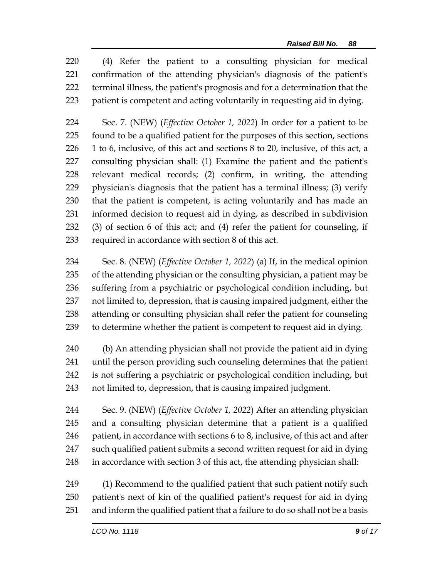(4) Refer the patient to a consulting physician for medical confirmation of the attending physician's diagnosis of the patient's terminal illness, the patient's prognosis and for a determination that the patient is competent and acting voluntarily in requesting aid in dying.

 Sec. 7. (NEW) (*Effective October 1, 2022*) In order for a patient to be found to be a qualified patient for the purposes of this section, sections 1 to 6, inclusive, of this act and sections 8 to 20, inclusive, of this act, a consulting physician shall: (1) Examine the patient and the patient's relevant medical records; (2) confirm, in writing, the attending physician's diagnosis that the patient has a terminal illness; (3) verify that the patient is competent, is acting voluntarily and has made an informed decision to request aid in dying, as described in subdivision (3) of section 6 of this act; and (4) refer the patient for counseling, if required in accordance with section 8 of this act.

 Sec. 8. (NEW) (*Effective October 1, 2022*) (a) If, in the medical opinion of the attending physician or the consulting physician, a patient may be suffering from a psychiatric or psychological condition including, but not limited to, depression, that is causing impaired judgment, either the attending or consulting physician shall refer the patient for counseling to determine whether the patient is competent to request aid in dying.

 (b) An attending physician shall not provide the patient aid in dying until the person providing such counseling determines that the patient is not suffering a psychiatric or psychological condition including, but not limited to, depression, that is causing impaired judgment.

 Sec. 9. (NEW) (*Effective October 1, 2022*) After an attending physician and a consulting physician determine that a patient is a qualified 246 patient, in accordance with sections 6 to 8, inclusive, of this act and after such qualified patient submits a second written request for aid in dying in accordance with section 3 of this act, the attending physician shall:

 (1) Recommend to the qualified patient that such patient notify such patient's next of kin of the qualified patient's request for aid in dying and inform the qualified patient that a failure to do so shall not be a basis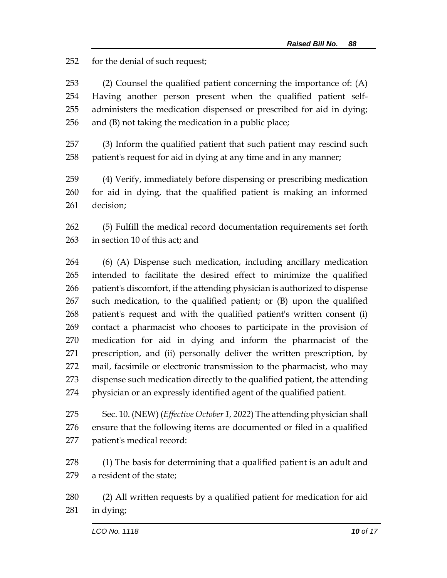for the denial of such request;

 (2) Counsel the qualified patient concerning the importance of: (A) Having another person present when the qualified patient self- administers the medication dispensed or prescribed for aid in dying; and (B) not taking the medication in a public place;

 (3) Inform the qualified patient that such patient may rescind such patient's request for aid in dying at any time and in any manner;

 (4) Verify, immediately before dispensing or prescribing medication for aid in dying, that the qualified patient is making an informed decision;

 (5) Fulfill the medical record documentation requirements set forth in section 10 of this act; and

 (6) (A) Dispense such medication, including ancillary medication intended to facilitate the desired effect to minimize the qualified patient's discomfort, if the attending physician is authorized to dispense such medication, to the qualified patient; or (B) upon the qualified patient's request and with the qualified patient's written consent (i) contact a pharmacist who chooses to participate in the provision of medication for aid in dying and inform the pharmacist of the prescription, and (ii) personally deliver the written prescription, by mail, facsimile or electronic transmission to the pharmacist, who may dispense such medication directly to the qualified patient, the attending physician or an expressly identified agent of the qualified patient.

 Sec. 10. (NEW) (*Effective October 1, 2022*) The attending physician shall ensure that the following items are documented or filed in a qualified patient's medical record:

 (1) The basis for determining that a qualified patient is an adult and a resident of the state;

 (2) All written requests by a qualified patient for medication for aid in dying;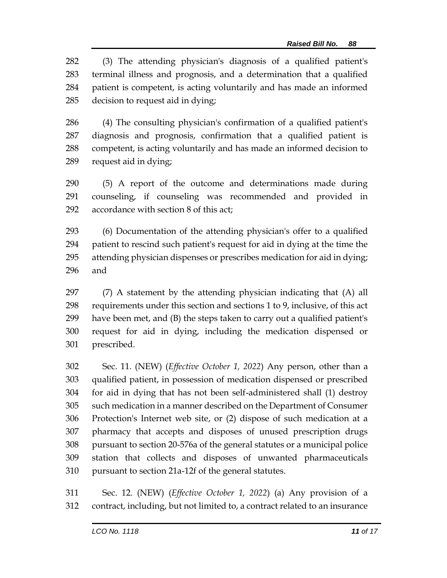(3) The attending physician's diagnosis of a qualified patient's terminal illness and prognosis, and a determination that a qualified patient is competent, is acting voluntarily and has made an informed decision to request aid in dying;

 (4) The consulting physician's confirmation of a qualified patient's diagnosis and prognosis, confirmation that a qualified patient is competent, is acting voluntarily and has made an informed decision to request aid in dying;

 (5) A report of the outcome and determinations made during counseling, if counseling was recommended and provided in accordance with section 8 of this act;

 (6) Documentation of the attending physician's offer to a qualified patient to rescind such patient's request for aid in dying at the time the attending physician dispenses or prescribes medication for aid in dying; and

 (7) A statement by the attending physician indicating that (A) all requirements under this section and sections 1 to 9, inclusive, of this act have been met, and (B) the steps taken to carry out a qualified patient's request for aid in dying, including the medication dispensed or prescribed.

 Sec. 11. (NEW) (*Effective October 1, 2022*) Any person, other than a qualified patient, in possession of medication dispensed or prescribed for aid in dying that has not been self-administered shall (1) destroy such medication in a manner described on the Department of Consumer Protection's Internet web site, or (2) dispose of such medication at a pharmacy that accepts and disposes of unused prescription drugs pursuant to section 20-576a of the general statutes or a municipal police station that collects and disposes of unwanted pharmaceuticals pursuant to section 21a-12f of the general statutes.

 Sec. 12. (NEW) (*Effective October 1, 2022*) (a) Any provision of a contract, including, but not limited to, a contract related to an insurance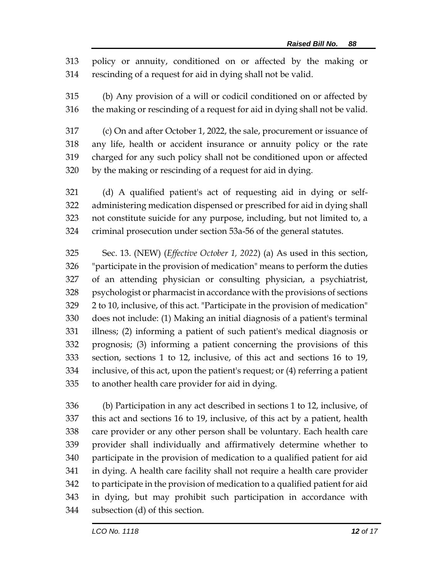policy or annuity, conditioned on or affected by the making or rescinding of a request for aid in dying shall not be valid.

 (b) Any provision of a will or codicil conditioned on or affected by the making or rescinding of a request for aid in dying shall not be valid.

 (c) On and after October 1, 2022, the sale, procurement or issuance of any life, health or accident insurance or annuity policy or the rate charged for any such policy shall not be conditioned upon or affected by the making or rescinding of a request for aid in dying.

 (d) A qualified patient's act of requesting aid in dying or self- administering medication dispensed or prescribed for aid in dying shall not constitute suicide for any purpose, including, but not limited to, a criminal prosecution under section 53a-56 of the general statutes.

 Sec. 13. (NEW) (*Effective October 1, 2022*) (a) As used in this section, "participate in the provision of medication" means to perform the duties of an attending physician or consulting physician, a psychiatrist, psychologist or pharmacist in accordance with the provisions of sections 2 to 10, inclusive, of this act. "Participate in the provision of medication" does not include: (1) Making an initial diagnosis of a patient's terminal illness; (2) informing a patient of such patient's medical diagnosis or prognosis; (3) informing a patient concerning the provisions of this section, sections 1 to 12, inclusive, of this act and sections 16 to 19, inclusive, of this act, upon the patient's request; or (4) referring a patient to another health care provider for aid in dying.

 (b) Participation in any act described in sections 1 to 12, inclusive, of this act and sections 16 to 19, inclusive, of this act by a patient, health care provider or any other person shall be voluntary. Each health care provider shall individually and affirmatively determine whether to participate in the provision of medication to a qualified patient for aid in dying. A health care facility shall not require a health care provider to participate in the provision of medication to a qualified patient for aid in dying, but may prohibit such participation in accordance with subsection (d) of this section.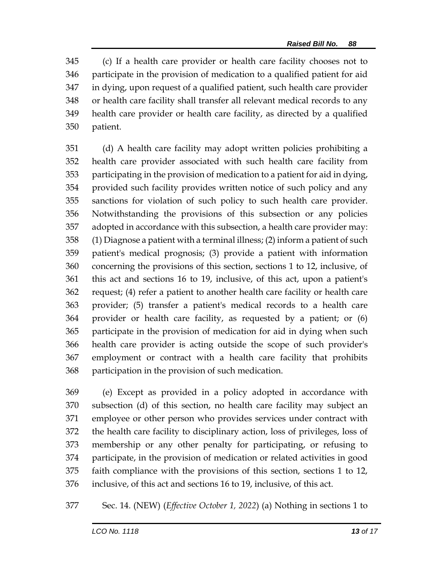(c) If a health care provider or health care facility chooses not to participate in the provision of medication to a qualified patient for aid in dying, upon request of a qualified patient, such health care provider or health care facility shall transfer all relevant medical records to any health care provider or health care facility, as directed by a qualified patient.

 (d) A health care facility may adopt written policies prohibiting a health care provider associated with such health care facility from participating in the provision of medication to a patient for aid in dying, provided such facility provides written notice of such policy and any sanctions for violation of such policy to such health care provider. Notwithstanding the provisions of this subsection or any policies adopted in accordance with this subsection, a health care provider may: (1) Diagnose a patient with a terminal illness; (2) inform a patient of such patient's medical prognosis; (3) provide a patient with information concerning the provisions of this section, sections 1 to 12, inclusive, of this act and sections 16 to 19, inclusive, of this act, upon a patient's request; (4) refer a patient to another health care facility or health care provider; (5) transfer a patient's medical records to a health care provider or health care facility, as requested by a patient; or (6) participate in the provision of medication for aid in dying when such health care provider is acting outside the scope of such provider's employment or contract with a health care facility that prohibits participation in the provision of such medication.

 (e) Except as provided in a policy adopted in accordance with subsection (d) of this section, no health care facility may subject an employee or other person who provides services under contract with the health care facility to disciplinary action, loss of privileges, loss of membership or any other penalty for participating, or refusing to participate, in the provision of medication or related activities in good faith compliance with the provisions of this section, sections 1 to 12, inclusive, of this act and sections 16 to 19, inclusive, of this act.

Sec. 14. (NEW) (*Effective October 1, 2022*) (a) Nothing in sections 1 to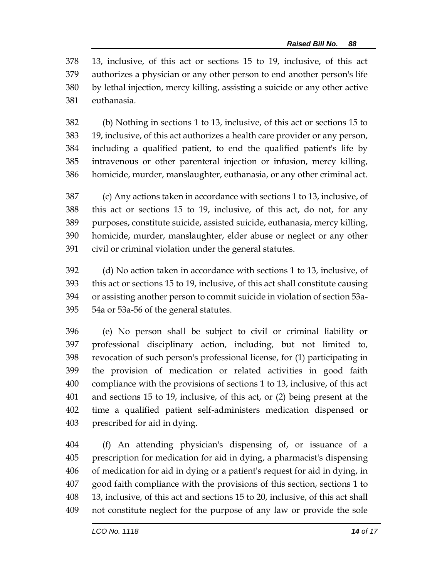13, inclusive, of this act or sections 15 to 19, inclusive, of this act authorizes a physician or any other person to end another person's life by lethal injection, mercy killing, assisting a suicide or any other active euthanasia.

 (b) Nothing in sections 1 to 13, inclusive, of this act or sections 15 to 19, inclusive, of this act authorizes a health care provider or any person, including a qualified patient, to end the qualified patient's life by intravenous or other parenteral injection or infusion, mercy killing, homicide, murder, manslaughter, euthanasia, or any other criminal act.

 (c) Any actions taken in accordance with sections 1 to 13, inclusive, of this act or sections 15 to 19, inclusive, of this act, do not, for any purposes, constitute suicide, assisted suicide, euthanasia, mercy killing, homicide, murder, manslaughter, elder abuse or neglect or any other civil or criminal violation under the general statutes.

 (d) No action taken in accordance with sections 1 to 13, inclusive, of this act or sections 15 to 19, inclusive, of this act shall constitute causing or assisting another person to commit suicide in violation of section 53a-54a or 53a-56 of the general statutes.

 (e) No person shall be subject to civil or criminal liability or professional disciplinary action, including, but not limited to, revocation of such person's professional license, for (1) participating in the provision of medication or related activities in good faith compliance with the provisions of sections 1 to 13, inclusive, of this act and sections 15 to 19, inclusive, of this act, or (2) being present at the time a qualified patient self-administers medication dispensed or prescribed for aid in dying.

 (f) An attending physician's dispensing of, or issuance of a prescription for medication for aid in dying, a pharmacist's dispensing of medication for aid in dying or a patient's request for aid in dying, in good faith compliance with the provisions of this section, sections 1 to 13, inclusive, of this act and sections 15 to 20, inclusive, of this act shall not constitute neglect for the purpose of any law or provide the sole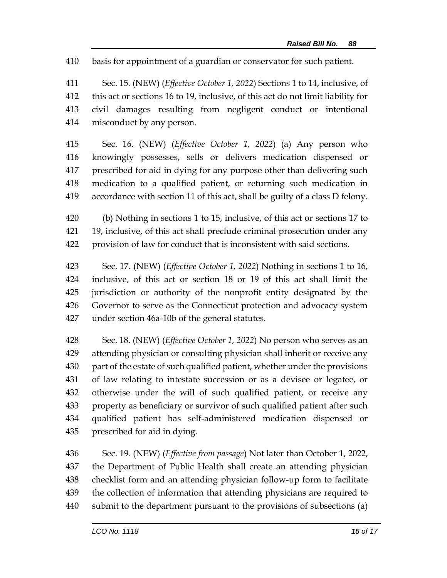basis for appointment of a guardian or conservator for such patient.

 Sec. 15. (NEW) (*Effective October 1, 2022*) Sections 1 to 14, inclusive, of this act or sections 16 to 19, inclusive, of this act do not limit liability for civil damages resulting from negligent conduct or intentional misconduct by any person.

 Sec. 16. (NEW) (*Effective October 1, 2022*) (a) Any person who knowingly possesses, sells or delivers medication dispensed or prescribed for aid in dying for any purpose other than delivering such medication to a qualified patient, or returning such medication in accordance with section 11 of this act, shall be guilty of a class D felony.

 (b) Nothing in sections 1 to 15, inclusive, of this act or sections 17 to 19, inclusive, of this act shall preclude criminal prosecution under any provision of law for conduct that is inconsistent with said sections.

 Sec. 17. (NEW) (*Effective October 1, 2022*) Nothing in sections 1 to 16, inclusive, of this act or section 18 or 19 of this act shall limit the jurisdiction or authority of the nonprofit entity designated by the Governor to serve as the Connecticut protection and advocacy system under section 46a-10b of the general statutes.

 Sec. 18. (NEW) (*Effective October 1, 2022*) No person who serves as an attending physician or consulting physician shall inherit or receive any part of the estate of such qualified patient, whether under the provisions of law relating to intestate succession or as a devisee or legatee, or otherwise under the will of such qualified patient, or receive any property as beneficiary or survivor of such qualified patient after such qualified patient has self-administered medication dispensed or prescribed for aid in dying.

 Sec. 19. (NEW) (*Effective from passage*) Not later than October 1, 2022, the Department of Public Health shall create an attending physician checklist form and an attending physician follow-up form to facilitate the collection of information that attending physicians are required to submit to the department pursuant to the provisions of subsections (a)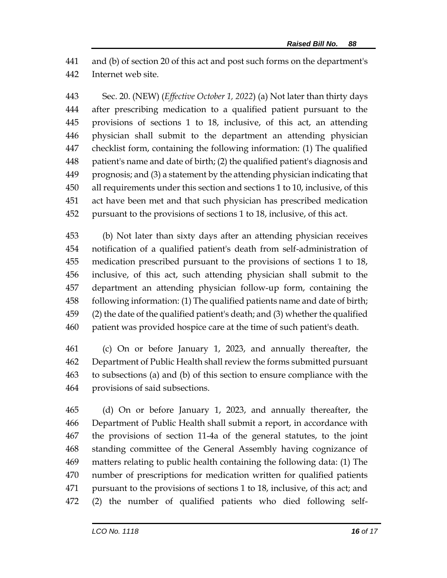and (b) of section 20 of this act and post such forms on the department's Internet web site.

 Sec. 20. (NEW) (*Effective October 1, 2022*) (a) Not later than thirty days after prescribing medication to a qualified patient pursuant to the provisions of sections 1 to 18, inclusive, of this act, an attending physician shall submit to the department an attending physician checklist form, containing the following information: (1) The qualified patient's name and date of birth; (2) the qualified patient's diagnosis and prognosis; and (3) a statement by the attending physician indicating that all requirements under this section and sections 1 to 10, inclusive, of this act have been met and that such physician has prescribed medication pursuant to the provisions of sections 1 to 18, inclusive, of this act.

 (b) Not later than sixty days after an attending physician receives notification of a qualified patient's death from self-administration of medication prescribed pursuant to the provisions of sections 1 to 18, inclusive, of this act, such attending physician shall submit to the department an attending physician follow-up form, containing the following information: (1) The qualified patients name and date of birth; (2) the date of the qualified patient's death; and (3) whether the qualified patient was provided hospice care at the time of such patient's death.

 (c) On or before January 1, 2023, and annually thereafter, the Department of Public Health shall review the forms submitted pursuant to subsections (a) and (b) of this section to ensure compliance with the provisions of said subsections.

 (d) On or before January 1, 2023, and annually thereafter, the Department of Public Health shall submit a report, in accordance with the provisions of section 11-4a of the general statutes, to the joint standing committee of the General Assembly having cognizance of matters relating to public health containing the following data: (1) The number of prescriptions for medication written for qualified patients pursuant to the provisions of sections 1 to 18, inclusive, of this act; and (2) the number of qualified patients who died following self